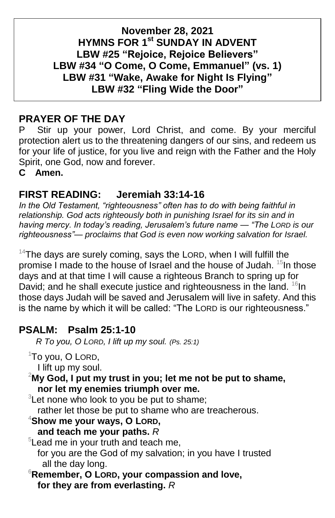### **November 28, 2021 HYMNS FOR 1 st SUNDAY IN ADVENT LBW #25 "Rejoice, Rejoice Believers" LBW #34 "O Come, O Come, Emmanuel" (vs. 1) LBW #31 "Wake, Awake for Night Is Flying" LBW #32 "Fling Wide the Door"**

## **PRAYER OF THE DAY**

P Stir up your power, Lord Christ, and come. By your merciful protection alert us to the threatening dangers of our sins, and redeem us for your life of justice, for you live and reign with the Father and the Holy Spirit, one God, now and forever.

**C Amen.**

### **FIRST READING: Jeremiah 33:14-16**

*In the Old Testament, "righteousness" often has to do with being faithful in relationship. God acts righteously both in punishing Israel for its sin and in having mercy. In today's reading, Jerusalem's future name — "The LORD is our righteousness"— proclaims that God is even now working salvation for Israel.*

 $14$ The days are surely coming, says the LORD, when I will fulfill the promise I made to the house of Israel and the house of Judah. <sup>15</sup>In those days and at that time I will cause a righteous Branch to spring up for David; and he shall execute justice and righteousness in the land.  $^{16}$ In those days Judah will be saved and Jerusalem will live in safety. And this is the name by which it will be called: "The LORD is our righteousness."

### **PSALM: Psalm 25:1-10**

 *R To you, O LORD, I lift up my soul. (Ps. 25:1)*

- $1$ To you, O LORD,
- I lift up my soul.

<sup>2</sup>**My God, I put my trust in you; let me not be put to shame, nor let my enemies triumph over me.**

 $3$ Let none who look to you be put to shame;

rather let those be put to shame who are treacherous.

#### <sup>4</sup>**Show me your ways, O LORD,**

**and teach me your paths.** *R*

<sup>5</sup> Lead me in your truth and teach me,

for you are the God of my salvation; in you have I trusted all the day long.

<sup>6</sup>**Remember, O LORD, your compassion and love, for they are from everlasting.** *R*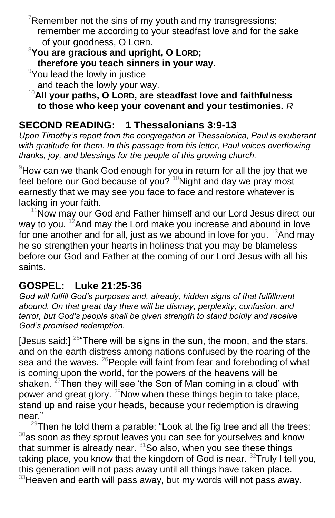Remember not the sins of my youth and my transgressions; remember me according to your steadfast love and for the sake of your goodness, O LORD.

<sup>8</sup>**You are gracious and upright, O LORD; therefore you teach sinners in your way.**

<sup>9</sup>You lead the lowly in justice

and teach the lowly your way.

<sup>10</sup>**All your paths, O LORD, are steadfast love and faithfulness to those who keep your covenant and your testimonies.** *R*

## **SECOND READING: 1 Thessalonians 3:9-13**

*Upon Timothy's report from the congregation at Thessalonica, Paul is exuberant*  with gratitude for them. In this passage from his letter, Paul voices overflowing *thanks, joy, and blessings for the people of this growing church.*

 $9$ How can we thank God enough for you in return for all the joy that we feel before our God because of you?  $10$ Night and day we pray most earnestly that we may see you face to face and restore whatever is lacking in your faith.

 $11$ Now may our God and Father himself and our Lord Jesus direct our way to you.  $12$ And may the Lord make you increase and abound in love for one another and for all, just as we abound in love for you.  $^{13}$ And may he so strengthen your hearts in holiness that you may be blameless before our God and Father at the coming of our Lord Jesus with all his saints.

## **GOSPEL: Luke 21:25-36**

*God will fulfill God's purposes and, already, hidden signs of that fulfillment abound. On that great day there will be dismay, perplexity, confusion, and terror, but God's people shall be given strength to stand boldly and receive God's promised redemption.*

[Jesus said:]  $25$  There will be signs in the sun, the moon, and the stars, and on the earth distress among nations confused by the roaring of the sea and the waves.  $^{26}$ People will faint from fear and foreboding of what is coming upon the world, for the powers of the heavens will be shaken.  $27$ Then they will see 'the Son of Man coming in a cloud' with power and great glory.  $^{28}$ Now when these things begin to take place, stand up and raise your heads, because your redemption is drawing near '

 $29$ Then he told them a parable: "Look at the fig tree and all the trees;  $30$ as soon as they sprout leaves you can see for yourselves and know that summer is already near.  $31$ So also, when you see these things taking place, you know that the kingdom of God is near. <sup>32</sup>Truly I tell you, this generation will not pass away until all things have taken place.  $33$ Heaven and earth will pass away, but my words will not pass away.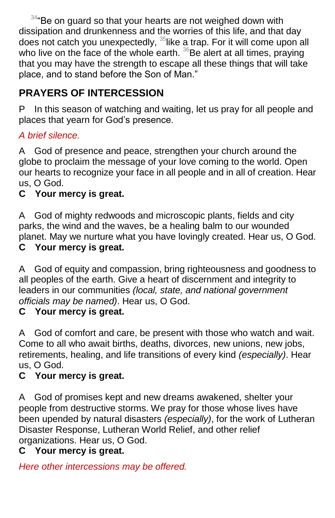$344$ <sup>e</sup>Be on guard so that your hearts are not weighed down with dissipation and drunkenness and the worries of this life, and that day does not catch you unexpectedly, <sup>35</sup>like a trap. For it will come upon all who live on the face of the whole earth.  $36$ Be alert at all times, praying that you may have the strength to escape all these things that will take place, and to stand before the Son of Man."

# **PRAYERS OF INTERCESSION**

P In this season of watching and waiting, let us pray for all people and places that yearn for God's presence.

### *A brief silence.*

A God of presence and peace, strengthen your church around the globe to proclaim the message of your love coming to the world. Open our hearts to recognize your face in all people and in all of creation. Hear us, O God.

## **C Your mercy is great.**

A God of mighty redwoods and microscopic plants, fields and city parks, the wind and the waves, be a healing balm to our wounded planet. May we nurture what you have lovingly created. Hear us, O God. **C Your mercy is great.**

A God of equity and compassion, bring righteousness and goodness to all peoples of the earth. Give a heart of discernment and integrity to leaders in our communities *(local, state, and national government officials may be named)*. Hear us, O God.

### **C Your mercy is great.**

A God of comfort and care, be present with those who watch and wait. Come to all who await births, deaths, divorces, new unions, new jobs, retirements, healing, and life transitions of every kind *(especially)*. Hear us, O God.

### **C Your mercy is great.**

A God of promises kept and new dreams awakened, shelter your people from destructive storms. We pray for those whose lives have been upended by natural disasters *(especially)*, for the work of Lutheran Disaster Response, Lutheran World Relief, and other relief organizations. Hear us, O God.

### **C Your mercy is great.**

*Here other intercessions may be offered.*